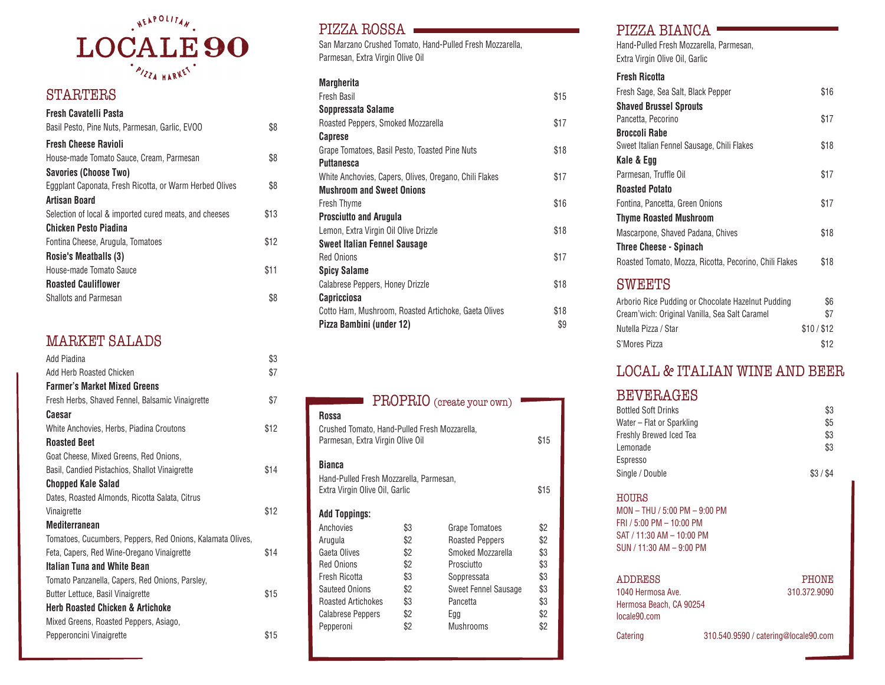

## STARTERS

| Fresh Cavatelli Pasta<br>Basil Pesto, Pine Nuts, Parmesan, Garlic, EVOO | \$8  |
|-------------------------------------------------------------------------|------|
| <b>Fresh Cheese Ravioli</b>                                             |      |
| House-made Tomato Sauce, Cream, Parmesan                                | \$8  |
| Savories (Choose Two)                                                   |      |
| Eggplant Caponata, Fresh Ricotta, or Warm Herbed Olives                 | \$8  |
| <b>Artisan Board</b>                                                    |      |
| Selection of local & imported cured meats, and cheeses                  | \$13 |
| Chicken Pesto Piadina                                                   |      |
| Fontina Cheese, Arugula, Tomatoes                                       | \$12 |
| Rosie's Meatballs (3)                                                   |      |
| House-made Tomato Sauce                                                 | \$11 |
| <b>Roasted Cauliflower</b>                                              |      |
| <b>Shallots and Parmesan</b>                                            | \$8  |
|                                                                         |      |

## MARKET SALADS

| Add Piadina                                                | \$3  |
|------------------------------------------------------------|------|
| Add Herb Roasted Chicken                                   | \$7  |
| <b>Farmer's Market Mixed Greens</b>                        |      |
| Fresh Herbs, Shaved Fennel, Balsamic Vinaigrette           | \$7  |
| Caesar                                                     |      |
| White Anchovies, Herbs, Piadina Croutons                   | \$12 |
| <b>Roasted Beet</b>                                        |      |
| Goat Cheese, Mixed Greens, Red Onions,                     |      |
| Basil, Candied Pistachios, Shallot Vinaigrette             | \$14 |
| <b>Chopped Kale Salad</b>                                  |      |
| Dates, Roasted Almonds, Ricotta Salata, Citrus             |      |
| Vinaigrette                                                | \$12 |
| Mediterranean                                              |      |
| Tomatoes, Cucumbers, Peppers, Red Onions, Kalamata Olives, |      |
| Feta, Capers, Red Wine-Oregano Vinaigrette                 | \$14 |
| Italian Tuna and White Bean                                |      |
| Tomato Panzanella, Capers, Red Onions, Parsley,            |      |
| Butter Lettuce, Basil Vinaigrette                          | \$15 |
| <b>Herb Roasted Chicken &amp; Artichoke</b>                |      |
| Mixed Greens, Roasted Peppers, Asiago,                     |      |
| Pepperoncini Vinaigrette                                   | \$15 |

#### PIZZA ROSSA

San Marzano Crushed Tomato, Hand-Pulled Fresh Mozzarella, Parmesan, Extra Virgin Olive Oil

#### **Margherita**

| Fresh Basil                                            | \$15 |
|--------------------------------------------------------|------|
| Soppressata Salame                                     |      |
| Roasted Peppers, Smoked Mozzarella                     | \$17 |
| Caprese                                                |      |
| Grape Tomatoes, Basil Pesto, Toasted Pine Nuts         | \$18 |
| Puttanesca                                             |      |
| White Anchovies, Capers, Olives, Oregano, Chili Flakes | \$17 |
| <b>Mushroom and Sweet Onions</b>                       |      |
| Fresh Thyme                                            | \$16 |
| <b>Prosciutto and Arugula</b>                          |      |
| Lemon, Extra Virgin Oil Olive Drizzle                  | \$18 |
| <b>Sweet Italian Fennel Sausage</b>                    |      |
| <b>Red Onions</b>                                      | \$17 |
| <b>Spicy Salame</b>                                    |      |
| Calabrese Peppers, Honey Drizzle                       | \$18 |
| Capricciosa                                            |      |
| Cotto Ham, Mushroom, Roasted Artichoke, Gaeta Olives   | \$18 |
| Pizza Bambini (under 12)                               | \$9  |
|                                                        |      |

|                                                                                            |     | PROPRIO (create your own) |      |
|--------------------------------------------------------------------------------------------|-----|---------------------------|------|
| Rossa<br>Crushed Tomato, Hand-Pulled Fresh Mozzarella,<br>Parmesan, Extra Virgin Olive Oil |     |                           | \$15 |
| Bianca<br>Hand-Pulled Fresh Mozzarella, Parmesan,<br>Extra Virgin Olive Oil, Garlic        |     |                           | \$15 |
| Add Toppings:                                                                              |     |                           |      |
| Anchovies                                                                                  | \$3 | <b>Grape Tomatoes</b>     | \$2  |
| Arugula                                                                                    | \$2 | <b>Roasted Peppers</b>    | \$2  |
| Gaeta Olives                                                                               | \$2 | Smoked Mozzarella         | \$3  |
| <b>Red Onions</b>                                                                          | \$2 | Prosciutto                | \$3  |
| Fresh Ricotta                                                                              | \$3 | Soppressata               | \$3  |
| <b>Sauteed Onions</b>                                                                      | \$2 | Sweet Fennel Sausage      | \$3  |
| <b>Roasted Artichokes</b>                                                                  | \$3 | Pancetta                  | \$3  |
| <b>Calabrese Peppers</b>                                                                   | \$2 | Egg                       | \$2  |
| Pepperoni                                                                                  | \$2 | Mushrooms                 | \$2  |

### PIZZA BIANCA ·

Hand-Pulled Fresh Mozzarella, Parmesan, Extra Virgin Olive Oil, Garlic

#### **Fresh Ricotta**

| Fresh Sage, Sea Salt, Black Pepper                     | \$16 |
|--------------------------------------------------------|------|
| <b>Shaved Brussel Sprouts</b>                          |      |
| Pancetta, Pecorino                                     | \$17 |
| <b>Broccoli Rabe</b>                                   |      |
| Sweet Italian Fennel Sausage, Chili Flakes             | \$18 |
| Kale & Egg                                             |      |
| Parmesan, Truffle Oil                                  | \$17 |
| <b>Roasted Potato</b>                                  |      |
| Fontina, Pancetta, Green Onions                        | \$17 |
| <b>Thyme Roasted Mushroom</b>                          |      |
| Mascarpone, Shaved Padana, Chives                      | \$18 |
| <b>Three Cheese - Spinach</b>                          |      |
| Roasted Tomato, Mozza, Ricotta, Pecorino, Chili Flakes | \$18 |
|                                                        |      |

#### **SWEETS**

| Arborio Rice Pudding or Chocolate Hazelnut Pudding | \$6       |
|----------------------------------------------------|-----------|
| Cream'wich: Original Vanilla, Sea Salt Caramel     | \$7       |
| Nutella Pizza / Star                               | \$10/\$12 |
| S'Mores Pizza                                      | \$12      |

## LOCAL & ITALIAN WINE AND BEER

#### BEVERAGES

| <b>Bottled Soft Drinks</b> | \$3     |
|----------------------------|---------|
| Water - Flat or Sparkling  | \$5     |
| Freshly Brewed Iced Tea    | \$3     |
| Lemonade                   | \$3     |
| Espresso                   |         |
| Single / Double            | \$3/\$4 |

#### HOURS

MON – THU / 5:00 PM – 9:00 PM FRI / 5:00 PM – 10:00 PM SAT / 11:30 AM – 10:00 PM SUN / 11:30 AM – 9:00 PM

1040 Hermosa Ave. 310.372.9090 Hermosa Beach, CA 90254 locale90.com

# ADDRESS PHONE

Catering 310.540.9590 / catering@locale90.com